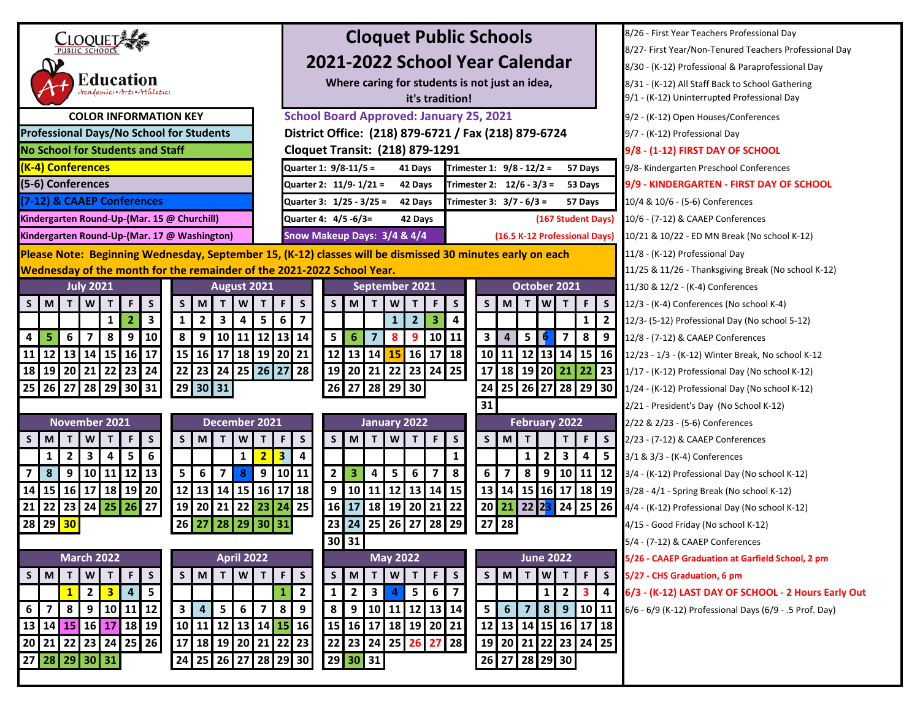| <b>CLOQUET</b>                                                                                                                                | <b>Cloquet Public Schools</b>                                                                                                                                                            | 8/26 - First Year Teachers Professional Day             |
|-----------------------------------------------------------------------------------------------------------------------------------------------|------------------------------------------------------------------------------------------------------------------------------------------------------------------------------------------|---------------------------------------------------------|
|                                                                                                                                               |                                                                                                                                                                                          | 8/27- First Year/Non-Tenured Teachers Professional Day  |
|                                                                                                                                               | 2021-2022 School Year Calendar                                                                                                                                                           | 8/30 - (K-12) Professional & Paraprofessional Day       |
| Education<br>Academics Arts Athletics                                                                                                         | Where caring for students is not just an idea,                                                                                                                                           | 8/31 - (K-12) All Staff Back to School Gathering        |
|                                                                                                                                               | it's tradition!                                                                                                                                                                          | 9/1 - (K-12) Uninterrupted Professional Day             |
| <b>COLOR INFORMATION KEY</b>                                                                                                                  | <b>School Board Approved: January 25, 2021</b>                                                                                                                                           | 9/2 - (K-12) Open Houses/Conferences                    |
| <b>Professional Days/No School for Students</b>                                                                                               | District Office: (218) 879-6721 / Fax (218) 879-6724                                                                                                                                     | 9/7 - (K-12) Professional Day                           |
| <b>No School for Students and Staff</b>                                                                                                       | <b>Cloquet Transit: (218) 879-1291</b>                                                                                                                                                   | 9/8 - (1-12) FIRST DAY OF SCHOOL                        |
| (K-4) Conferences                                                                                                                             | Quarter 1: 9/8-11/5 =<br>Trimester 1: 9/8 - 12/2 =<br>41 Days<br>57 Days                                                                                                                 | 9/8- Kindergarten Preschool Conferences                 |
| (5-6) Conferences                                                                                                                             | Quarter 2: 11/9-1/21 =<br>42 Days<br>Trimester 2: $12/6 - 3/3 =$<br>53 Days                                                                                                              | 9/9 - KINDERGARTEN - FIRST DAY OF SCHOOL                |
| (7-12) & CAAEP Conferences                                                                                                                    | Quarter 3: 1/25 - 3/25 =<br>Trimester 3: $3/7 - 6/3 =$<br>42 Days<br>57 Days                                                                                                             | 10/4 & 10/6 - (5-6) Conferences                         |
| Kindergarten Round-Up-(Mar. 15 @ Churchill)                                                                                                   | Quarter 4: 4/5 -6/3=<br>(167 Student Days)<br>42 Days                                                                                                                                    | 10/6 - (7-12) & CAAEP Conferences                       |
| Kindergarten Round-Up-(Mar. 17 @ Washington)                                                                                                  | Snow Makeup Days: 3/4 & 4/4<br>(16.5 K-12 Professional Days)                                                                                                                             | 10/21 & 10/22 - ED MN Break (No school K-12)            |
|                                                                                                                                               | Please Note: Beginning Wednesday, September 15, (K-12) classes will be dismissed 30 minutes early on each                                                                                | 11/8 - (K-12) Professional Day                          |
| Wednesday of the month for the remainder of the 2021-2022 School Year.                                                                        |                                                                                                                                                                                          | 11/25 & 11/26 - Thanksgiving Break (No school K-12)     |
| <b>July 2021</b><br>August 2021                                                                                                               | October 2021<br>September 2021                                                                                                                                                           | 11/30 & 12/2 - (K-4) Conferences                        |
| M<br>T<br>W <sub>1</sub><br>F<br>S<br>S<br>M<br>W<br>T<br>S<br>$\mathbf{T}$<br>$\mathsf{T}$                                                   | $\mathsf S$<br>$\overline{w}$<br>F.<br>S<br>T<br>W<br>F<br>S<br>S<br>M<br>$\mathsf{T}$<br>T<br>F<br>M<br>T<br><b>S</b>                                                                   | 12/3 - (K-4) Conferences (No school K-4)                |
| $\overline{\mathbf{3}}$<br>$\overline{2}$<br>$\overline{\mathbf{3}}$<br>5 <sup>1</sup><br>$\overline{2}$<br>4<br>$\mathbf{1}$<br>$\mathbf{1}$ | $6\phantom{1}$<br>$\overline{7}$<br>3<br>2 <sup>2</sup><br>4<br>$\overline{2}$<br>$\mathbf{1}$<br>$1 \square$                                                                            | 12/3- (5-12) Professional Day (No school 5-12)          |
| 8<br>9<br>10<br>8<br>9<br>5<br>6<br>$\overline{ }$<br>10 11<br>4                                                                              | 12 13 14<br>5<br>$\overline{7}$<br>6<br>$\overline{7}$<br>8<br>9 <sub>1</sub><br>10 11<br>3<br>4<br>5<br><b>6</b><br>8 <sup>1</sup><br>9                                                 | 12/8 - (7-12) & CAAEP Conferences                       |
| 12 13 14 15 16 17<br>15 16 17 18 19 20 21<br>11                                                                                               | 12 13 14 15 16 17 18<br>10 11 12 13 14 15 16                                                                                                                                             | 12/23 - 1/3 - (K-12) Winter Break, No school K-12       |
| 23 24<br>22 23 24 25 26 27 28<br>19 20 21 22<br>18                                                                                            | 22 23 24 25<br>18 19 20 21 22<br>17<br>19 20 21<br>23                                                                                                                                    | 1/17 - (K-12) Professional Day (No school K-12)         |
| 25<br>$26$ 27<br>$28$ 29<br>30 31<br>29 30<br> 31                                                                                             | 25 26 27<br>29<br>28<br>30<br>24<br>  28   29   30<br>26<br>27                                                                                                                           | 1/24 - (K-12) Professional Day (No school K-12)         |
|                                                                                                                                               | 31                                                                                                                                                                                       | 2/21 - President's Day (No School K-12)                 |
| December 2021<br>November 2021                                                                                                                | <b>February 2022</b><br>January 2022                                                                                                                                                     | 2/22 & 2/23 - (5-6) Conferences                         |
| $\mathsf S$<br>$\mathsf S$<br>W<br>F<br>M<br>W<br>S<br>M<br>$\mathbf{T}$<br>Т<br>Т<br>T                                                       | $\mathsf S$<br>S<br>$\mathsf F$<br>$\mathsf S$<br>S<br>F.<br>M<br>T.<br>M<br>T.<br>F<br><sub>S</sub><br>T<br>W<br>T                                                                      | 2/23 - (7-12) & CAAEP Conferences                       |
| 6<br>5<br>$\overline{2}$<br>3<br>4<br>2 <sub>1</sub><br>1<br>1                                                                                | $\overline{\mathbf{3}}$<br>$\overline{\mathbf{4}}$<br>$\mathbf{3}$<br>$\overline{2}$<br>1<br>1<br>4<br>-5                                                                                | 3/1 & 3/3 - (K-4) Conferences                           |
| $12$ 13<br>5 <sup>1</sup><br>8<br>9<br>$10$   11 <br>6<br>$\overline{\mathbf{z}}$<br>8<br>$\overline{ }$                                      | 9   10   11<br>2 <sup>1</sup><br>6 <sup>1</sup><br>8   9   10   11   12<br>3<br>5<br>6<br>8<br>$\overline{\mathbf{z}}$<br>4<br>$\overline{7}$                                            | 3/4 - (K-12) Professional Day (No school K-12)          |
| 12 13 14 15<br>16 17<br>16<br>17 18 19 20<br>14<br>15                                                                                         | 18<br>12 13 14 15<br>13<br>14 15 16 17 18 19<br>9 <sub>o</sub><br>10 11                                                                                                                  | 3/28 - 4/1 - Spring Break (No school K-12)              |
| 23 24 25 26 27<br>19 20 21 22 23 24 25<br>22<br>21                                                                                            | 21 22 23 24 25 26<br>16 17 18 19 20 21 22<br>20                                                                                                                                          | 4/4 - (K-12) Professional Day (No school K-12)          |
| 29<br>28<br>29 30 31<br>30<br>26<br>28<br>  27                                                                                                | 23 24 25 26 27 28 29<br>27<br>28                                                                                                                                                         | 4/15 - Good Friday (No school K-12)                     |
|                                                                                                                                               | 30 31                                                                                                                                                                                    | 5/4 - (7-12) & CAAEP Conferences                        |
| <b>March 2022</b><br><b>April 2022</b>                                                                                                        | <b>May 2022</b><br><b>June 2022</b>                                                                                                                                                      | 5/26 - CAAEP Graduation at Garfield School, 2 pm        |
| $T$ $F$ $S$<br>S<br>W T<br>M<br>T<br>W<br>M<br>$\mathsf{T}$<br>S                                                                              | F<br>$F \mid S$<br>F<br>$\mathsf{M}$<br>T W T<br>$\mathsf{S}$<br>S<br>M<br>T<br>${\bf W}$<br>$\mathsf{s}$<br>S.<br>T                                                                     | 5/27 - CHS Graduation, 6 pm                             |
| $5\phantom{a}$<br>$\mathbf{1}$<br>3 <sup>1</sup><br>$\overline{2}$<br>$\overline{4}$                                                          | $\overline{\mathbf{2}}$<br>$5\overline{)}$<br>6<br>$\overline{z}$<br>$\overline{2}$<br>3 <sup>1</sup><br>$\mathbf{3}$<br>1<br>$\overline{2}$<br>$\mathbf{1}$<br>$\overline{4}$<br>1<br>4 | 6/3 - (K-12) LAST DAY OF SCHOOL - 2 Hours Early Out     |
| $10$ 11 12<br>8<br>9<br>$\mathbf{3}$<br>5<br>6<br>7 <sup>1</sup><br>6<br>4                                                                    | 8<br>9<br>10 11 12 13 14<br>8 <sup>1</sup><br>8<br>5<br>6<br>$\overline{7}$<br>$9^{\circ}$<br>10 11<br>9                                                                                 | 6/6 - 6/9 (K-12) Professional Days (6/9 - .5 Prof. Day) |
| 13 14 15 16 17 18 19<br>10 11 12 13 14 15 16                                                                                                  | 15 16 17 18 19 20 21<br>12<br>13 14 15 16 17 18                                                                                                                                          |                                                         |
| 21 22 23 24 25 26<br>17   18   19   20   21   22   23<br>20                                                                                   | 22 23 24 25 26<br>19<br>20 21 22 23 24 25<br> 28 <br>-27                                                                                                                                 |                                                         |
| 24 25 26 27 28 29 30<br>28 29 30 31<br>27                                                                                                     | $29$ 30 31<br>26 27 28 29 30                                                                                                                                                             |                                                         |
|                                                                                                                                               |                                                                                                                                                                                          |                                                         |